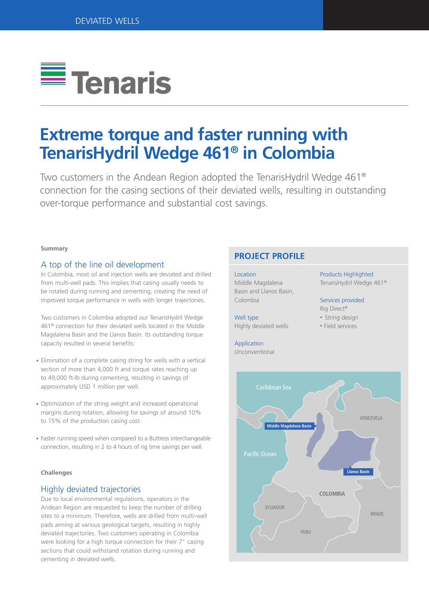

# **Extreme torque and faster running with TenarisHydril Wedge 461® in Colombia**

Two customers in the Andean Region adopted the TenarisHydril Wedge 461® connection for the casing sections of their deviated wells, resulting in outstanding over-torque performance and substantial cost savings.

### **Summary**

# A top of the line oil development

In Colombia, most oil and injection wells are deviated and drilled from multi-well pads. This implies that casing usually needs to be rotated during running and cementing, creating the need of improved torque performance in wells with longer trajectories.

Two customers in Colombia adopted our TenarisHydril Wedge 461® connection for their deviated wells located in the Middle Magdalena Basin and the Llanos Basin. Its outstanding torque capacity resulted in several benefits:

- Elimination of a complete casing string for wells with a vertical section of more than 4,000 ft and torque rates reaching up to 49,000 ft-lb during cementing, resulting in savings of approximately USD 1 million per well.
- Optimization of the string weight and increased operational margins during rotation, allowing for savings of around 10% to 15% of the production casing cost.
- Faster running speed when compared to a Buttress interchangeable connection, resulting in 2 to 4 hours of rig time savings per well.

### **Challenges**

# Highly deviated trajectories

Due to local environmental regulations, operators in the Andean Region are requested to keep the number of drilling sites to a minimum. Therefore, wells are drilled from multi-well pads aiming at various geological targets, resulting in highly deviated trajectories. Two customers operating in Colombia were looking for a high torque connection for their 7" casing sections that could withstand rotation during running and cementing in deviated wells.

# **PROJECT PROFILE**

#### Location

Middle Magdalena Basin and Llanos Basin, Colombia

Well type Highly deviated wells

# Application

Unconventional

Products Highlighted TenarisHydril Wedge 461®

# Services provided

Rig Direct®

- String design
- Field services